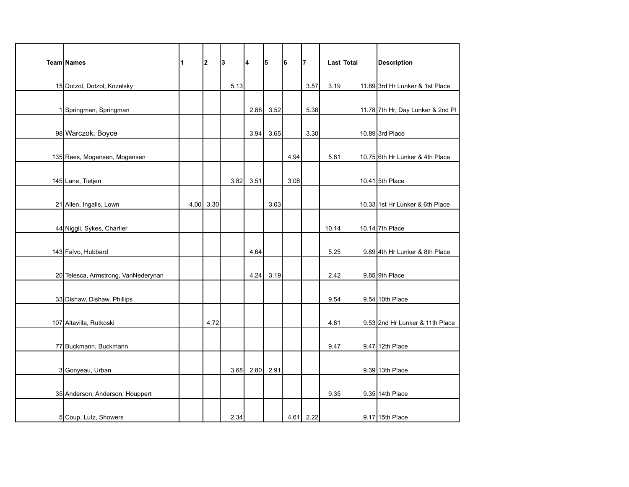| Team Names                          | 11 | $\overline{\mathbf{2}}$ | 3    | 4    | 5    | 6    | $\overline{7}$ |       | Last Total | <b>Description</b>                |
|-------------------------------------|----|-------------------------|------|------|------|------|----------------|-------|------------|-----------------------------------|
|                                     |    |                         |      |      |      |      |                |       |            |                                   |
| 15 Dotzol, Dotzol, Kozelsky         |    |                         | 5.13 |      |      |      | 3.57           | 3.19  |            | 11.89 3rd Hr Lunker & 1st Place   |
|                                     |    |                         |      |      |      |      |                |       |            |                                   |
| 1 Springman, Springman              |    |                         |      | 2.88 | 3.52 |      | 5.38           |       |            | 11.78 7th Hr, Day Lunker & 2nd Pl |
|                                     |    |                         |      |      |      |      |                |       |            |                                   |
| 98 Warczok, Boyce                   |    |                         |      | 3.94 | 3.65 |      | 3.30           |       |            | 10.89 3rd Place                   |
|                                     |    |                         |      |      |      |      |                |       |            |                                   |
| 135 Rees, Mogensen, Mogensen        |    |                         |      |      |      | 4.94 |                | 5.81  |            | 10.75 6th Hr Lunker & 4th Place   |
|                                     |    |                         |      |      |      |      |                |       |            |                                   |
| 145 Lane, Tietjen                   |    |                         | 3.82 | 3.51 |      | 3.08 |                |       |            | 10.41 5th Place                   |
|                                     |    |                         |      |      |      |      |                |       |            |                                   |
| 21 Allen, Ingalls, Lown             |    | $4.00$ 3.30             |      |      | 3.03 |      |                |       |            | 10.33 1st Hr Lunker & 6th Place   |
|                                     |    |                         |      |      |      |      |                |       |            |                                   |
| 44 Niggli, Sykes, Chartier          |    |                         |      |      |      |      |                | 10.14 |            | 10.14 7th Place                   |
|                                     |    |                         |      |      |      |      |                |       |            |                                   |
| 143 Falvo, Hubbard                  |    |                         |      | 4.64 |      |      |                | 5.25  |            | 9.89 4th Hr Lunker & 8th Place    |
|                                     |    |                         |      |      |      |      |                |       |            |                                   |
| 20 Telesca, Armstrong, VanNederynan |    |                         |      | 4.24 | 3.19 |      |                | 2.42  |            | 9.85 9th Place                    |
|                                     |    |                         |      |      |      |      |                |       |            |                                   |
| 33 Dishaw, Dishaw, Phillips         |    |                         |      |      |      |      |                | 9.54  |            | 9.54 10th Place                   |
|                                     |    |                         |      |      |      |      |                |       |            |                                   |
| 107 Altavilla, Rutkoski             |    | 4.72                    |      |      |      |      |                | 4.81  |            | 9.53 2nd Hr Lunker & 11th Place   |
|                                     |    |                         |      |      |      |      |                |       |            |                                   |
| 77 Buckmann, Buckmann               |    |                         |      |      |      |      |                | 9.47  |            | 9.47 12th Place                   |
|                                     |    |                         |      |      |      |      |                |       |            |                                   |
| 3 Gonyeau, Urban                    |    |                         | 3.68 | 2.80 | 2.91 |      |                |       |            | 9.39 13th Place                   |
|                                     |    |                         |      |      |      |      |                |       |            |                                   |
| 35 Anderson, Anderson, Houppert     |    |                         |      |      |      |      |                | 9.35  |            | 9.35 14th Place                   |
|                                     |    |                         |      |      |      |      |                |       |            |                                   |
| 5 Coup, Lutz, Showers               |    |                         | 2.34 |      |      |      | $4.61$ 2.22    |       |            | 9.17 15th Place                   |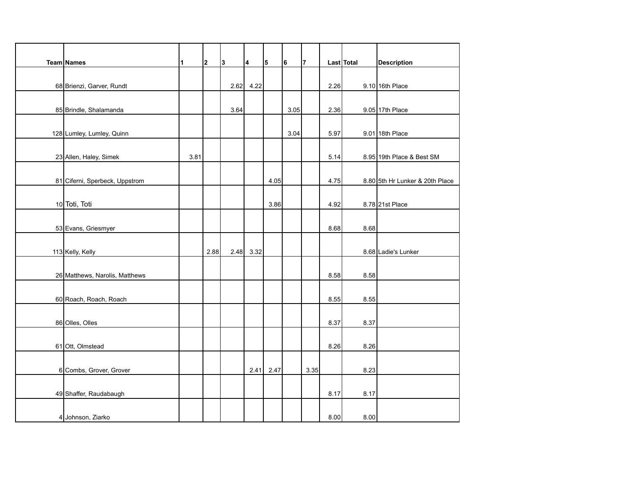| Team Names                     | 1    | $\overline{2}$ | 3    | 4    | 5    | 6    | $\overline{7}$ |      | Last Total | <b>Description</b>              |
|--------------------------------|------|----------------|------|------|------|------|----------------|------|------------|---------------------------------|
|                                |      |                |      |      |      |      |                |      |            |                                 |
| 68 Brienzi, Garver, Rundt      |      |                | 2.62 | 4.22 |      |      |                | 2.26 |            | 9.10 16th Place                 |
|                                |      |                |      |      |      |      |                |      |            |                                 |
| 85 Brindle, Shalamanda         |      |                | 3.64 |      |      | 3.05 |                | 2.36 |            | 9.05 17th Place                 |
|                                |      |                |      |      |      |      |                |      |            |                                 |
| 128 Lumley, Lumley, Quinn      |      |                |      |      |      | 3.04 |                | 5.97 |            | 9.01 18th Place                 |
|                                |      |                |      |      |      |      |                |      |            |                                 |
| 23 Allen, Haley, Simek         | 3.81 |                |      |      |      |      |                | 5.14 |            | 8.95 19th Place & Best SM       |
|                                |      |                |      |      |      |      |                |      |            |                                 |
| 81 Ciferni, Sperbeck, Uppstrom |      |                |      |      | 4.05 |      |                | 4.75 |            | 8.80 5th Hr Lunker & 20th Place |
|                                |      |                |      |      |      |      |                |      |            |                                 |
| 10 Toti, Toti                  |      |                |      |      | 3.86 |      |                | 4.92 |            | 8.78 21st Place                 |
|                                |      |                |      |      |      |      |                |      |            |                                 |
| 53 Evans, Griesmyer            |      |                |      |      |      |      |                | 8.68 | 8.68       |                                 |
|                                |      |                |      |      |      |      |                |      |            |                                 |
| 113 Kelly, Kelly               |      | 2.88           | 2.48 | 3.32 |      |      |                |      |            | 8.68 Ladie's Lunker             |
|                                |      |                |      |      |      |      |                |      |            |                                 |
| 26 Matthews, Narolis, Matthews |      |                |      |      |      |      |                | 8.58 | 8.58       |                                 |
|                                |      |                |      |      |      |      |                |      |            |                                 |
| 60 Roach, Roach, Roach         |      |                |      |      |      |      |                | 8.55 | 8.55       |                                 |
|                                |      |                |      |      |      |      |                |      |            |                                 |
| 86 Olles, Olles                |      |                |      |      |      |      |                | 8.37 | 8.37       |                                 |
|                                |      |                |      |      |      |      |                |      |            |                                 |
| 61 Ott, Olmstead               |      |                |      |      |      |      |                | 8.26 | 8.26       |                                 |
|                                |      |                |      |      |      |      |                |      |            |                                 |
| 6 Combs, Grover, Grover        |      |                |      | 2.41 | 2.47 |      | 3.35           |      | 8.23       |                                 |
|                                |      |                |      |      |      |      |                |      |            |                                 |
| 49 Shaffer, Raudabaugh         |      |                |      |      |      |      |                | 8.17 | 8.17       |                                 |
|                                |      |                |      |      |      |      |                |      |            |                                 |
| 4 Johnson, Ziarko              |      |                |      |      |      |      |                | 8.00 | 8.00       |                                 |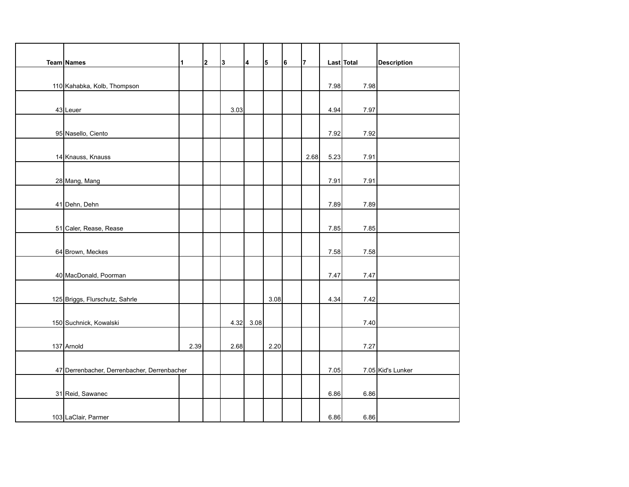| Team Names                                  | 1    | 2 | 3    | 4    | 5    | 6 | $\overline{7}$ |      | Last Total | <b>Description</b> |
|---------------------------------------------|------|---|------|------|------|---|----------------|------|------------|--------------------|
|                                             |      |   |      |      |      |   |                |      |            |                    |
| 110 Kahabka, Kolb, Thompson                 |      |   |      |      |      |   |                | 7.98 | 7.98       |                    |
|                                             |      |   |      |      |      |   |                |      |            |                    |
| 43 Leuer                                    |      |   | 3.03 |      |      |   |                | 4.94 | 7.97       |                    |
|                                             |      |   |      |      |      |   |                |      |            |                    |
| 95 Nasello, Ciento                          |      |   |      |      |      |   |                | 7.92 | 7.92       |                    |
|                                             |      |   |      |      |      |   |                |      |            |                    |
| 14 Knauss, Knauss                           |      |   |      |      |      |   | 2.68           | 5.23 | 7.91       |                    |
|                                             |      |   |      |      |      |   |                |      |            |                    |
| 28 Mang, Mang                               |      |   |      |      |      |   |                | 7.91 | 7.91       |                    |
|                                             |      |   |      |      |      |   |                |      |            |                    |
| 41 Dehn, Dehn                               |      |   |      |      |      |   |                | 7.89 | 7.89       |                    |
|                                             |      |   |      |      |      |   |                |      |            |                    |
| 51 Caler, Rease, Rease                      |      |   |      |      |      |   |                | 7.85 | 7.85       |                    |
|                                             |      |   |      |      |      |   |                |      |            |                    |
| 64 Brown, Meckes                            |      |   |      |      |      |   |                | 7.58 | 7.58       |                    |
| 40 MacDonald, Poorman                       |      |   |      |      |      |   |                | 7.47 | 7.47       |                    |
|                                             |      |   |      |      |      |   |                |      |            |                    |
| 125 Briggs, Flurschutz, Sahrle              |      |   |      |      | 3.08 |   |                | 4.34 | 7.42       |                    |
|                                             |      |   |      |      |      |   |                |      |            |                    |
| 150 Suchnick, Kowalski                      |      |   | 4.32 | 3.08 |      |   |                |      | 7.40       |                    |
|                                             |      |   |      |      |      |   |                |      |            |                    |
| 137 Arnold                                  | 2.39 |   | 2.68 |      | 2.20 |   |                |      | 7.27       |                    |
|                                             |      |   |      |      |      |   |                |      |            |                    |
| 47 Derrenbacher, Derrenbacher, Derrenbacher |      |   |      |      |      |   |                | 7.05 |            | 7.05 Kid's Lunker  |
|                                             |      |   |      |      |      |   |                |      |            |                    |
| 31 Reid, Sawanec                            |      |   |      |      |      |   |                | 6.86 | 6.86       |                    |
|                                             |      |   |      |      |      |   |                |      |            |                    |
| 103 LaClair, Parmer                         |      |   |      |      |      |   |                | 6.86 | 6.86       |                    |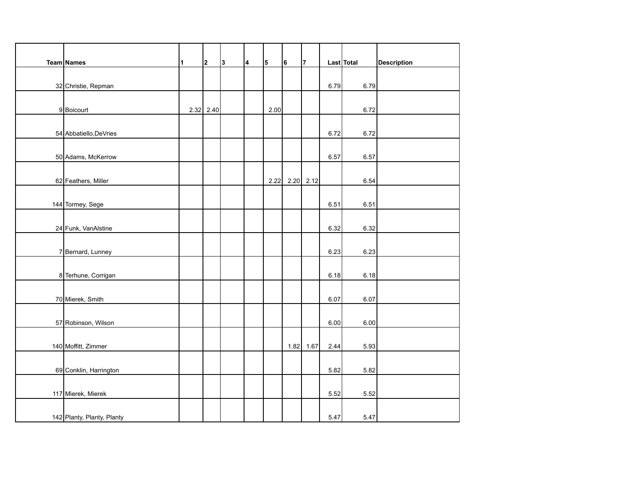| Team Names |                            | 1 | $\mathbf 2$ | 3 | 4 | 5    | 6              | $\overline{7}$ |      | Last Total | <b>Description</b> |
|------------|----------------------------|---|-------------|---|---|------|----------------|----------------|------|------------|--------------------|
|            |                            |   |             |   |   |      |                |                |      |            |                    |
|            | 32 Christie, Repman        |   |             |   |   |      |                |                | 6.79 | 6.79       |                    |
|            |                            |   |             |   |   |      |                |                |      |            |                    |
|            | 9 Boicourt                 |   | $2.32$ 2.40 |   |   | 2.00 |                |                |      | 6.72       |                    |
|            |                            |   |             |   |   |      |                |                |      |            |                    |
|            | 54 Abbatiello, DeVries     |   |             |   |   |      |                |                | 6.72 | 6.72       |                    |
|            |                            |   |             |   |   |      |                |                |      |            |                    |
|            | 50 Adams, McKerrow         |   |             |   |   |      |                |                | 6.57 | 6.57       |                    |
|            |                            |   |             |   |   |      |                |                |      |            |                    |
|            | 62 Feathers, Miller        |   |             |   |   |      | 2.22 2.20 2.12 |                |      | 6.54       |                    |
|            | 144 Tormey, Sege           |   |             |   |   |      |                |                | 6.51 | 6.51       |                    |
|            |                            |   |             |   |   |      |                |                |      |            |                    |
|            | 24 Funk, VanAlstine        |   |             |   |   |      |                |                | 6.32 | 6.32       |                    |
|            |                            |   |             |   |   |      |                |                |      |            |                    |
|            | 7 Bernard, Lunney          |   |             |   |   |      |                |                | 6.23 | 6.23       |                    |
|            |                            |   |             |   |   |      |                |                |      |            |                    |
|            | 8 Terhune, Corrigan        |   |             |   |   |      |                |                | 6.18 | 6.18       |                    |
|            |                            |   |             |   |   |      |                |                |      |            |                    |
|            | 70 Mierek, Smith           |   |             |   |   |      |                |                | 6.07 | 6.07       |                    |
|            |                            |   |             |   |   |      |                |                |      |            |                    |
|            | 57 Robinson, Wilson        |   |             |   |   |      |                |                | 6.00 | 6.00       |                    |
|            |                            |   |             |   |   |      |                |                |      |            |                    |
|            | 140 Moffitt, Zimmer        |   |             |   |   |      | 1.82           | 1.67           | 2.44 | 5.93       |                    |
|            |                            |   |             |   |   |      |                |                |      |            |                    |
|            | 69 Conklin, Harrington     |   |             |   |   |      |                |                | 5.82 | 5.82       |                    |
|            |                            |   |             |   |   |      |                |                |      |            |                    |
|            | 117 Mierek, Mierek         |   |             |   |   |      |                |                | 5.52 | 5.52       |                    |
|            | 142 Planty, Planty, Planty |   |             |   |   |      |                |                | 5.47 | 5.47       |                    |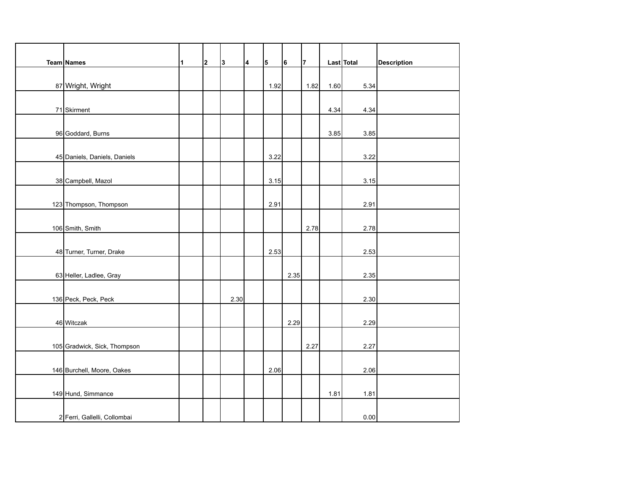| Team Names                   | 1 | $\overline{\mathbf{2}}$ | 3    | $\overline{\mathbf{4}}$ | 5    | 6    | $\overline{7}$ |      | Last Total | <b>Description</b> |
|------------------------------|---|-------------------------|------|-------------------------|------|------|----------------|------|------------|--------------------|
|                              |   |                         |      |                         |      |      |                |      |            |                    |
| 87 Wright, Wright            |   |                         |      |                         | 1.92 |      | 1.82           | 1.60 | 5.34       |                    |
|                              |   |                         |      |                         |      |      |                |      |            |                    |
| 71 Skirment                  |   |                         |      |                         |      |      |                | 4.34 | 4.34       |                    |
|                              |   |                         |      |                         |      |      |                |      |            |                    |
| 96 Goddard, Burns            |   |                         |      |                         |      |      |                | 3.85 | 3.85       |                    |
|                              |   |                         |      |                         |      |      |                |      |            |                    |
| 45 Daniels, Daniels, Daniels |   |                         |      |                         | 3.22 |      |                |      | 3.22       |                    |
|                              |   |                         |      |                         |      |      |                |      |            |                    |
| 38 Campbell, Mazol           |   |                         |      |                         | 3.15 |      |                |      | 3.15       |                    |
| 123 Thompson, Thompson       |   |                         |      |                         | 2.91 |      |                |      | 2.91       |                    |
|                              |   |                         |      |                         |      |      |                |      |            |                    |
| 106 Smith, Smith             |   |                         |      |                         |      |      | 2.78           |      | 2.78       |                    |
|                              |   |                         |      |                         |      |      |                |      |            |                    |
| 48 Turner, Turner, Drake     |   |                         |      |                         | 2.53 |      |                |      | 2.53       |                    |
|                              |   |                         |      |                         |      |      |                |      |            |                    |
| 63 Heller, Ladlee, Gray      |   |                         |      |                         |      | 2.35 |                |      | 2.35       |                    |
|                              |   |                         |      |                         |      |      |                |      |            |                    |
| 136 Peck, Peck, Peck         |   |                         | 2.30 |                         |      |      |                |      | 2.30       |                    |
|                              |   |                         |      |                         |      |      |                |      |            |                    |
| 46 Witczak                   |   |                         |      |                         |      | 2.29 |                |      | 2.29       |                    |
|                              |   |                         |      |                         |      |      |                |      |            |                    |
| 105 Gradwick, Sick, Thompson |   |                         |      |                         |      |      | 2.27           |      | 2.27       |                    |
|                              |   |                         |      |                         |      |      |                |      |            |                    |
| 146 Burchell, Moore, Oakes   |   |                         |      |                         | 2.06 |      |                |      | 2.06       |                    |
|                              |   |                         |      |                         |      |      |                |      |            |                    |
| 149 Hund, Simmance           |   |                         |      |                         |      |      |                | 1.81 | 1.81       |                    |
| 2 Ferri, Gallelli, Collombai |   |                         |      |                         |      |      |                |      | 0.00       |                    |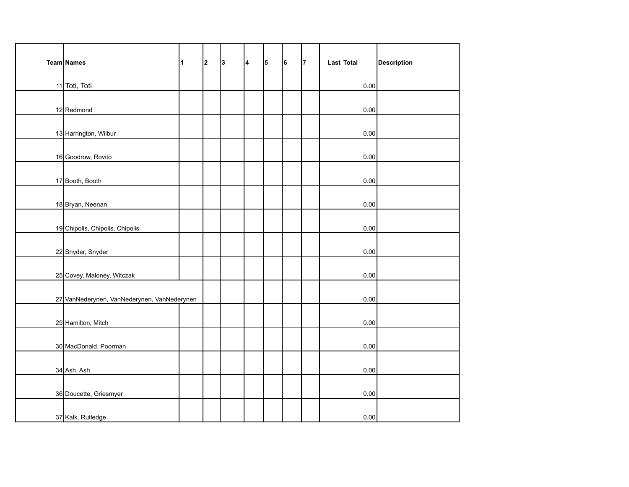| Team Names                                  | $\blacksquare$ | $\mathbf 2$ | 3 | 4 | 5 | 6 | $\overline{7}$ | Last Total | <b>Description</b> |
|---------------------------------------------|----------------|-------------|---|---|---|---|----------------|------------|--------------------|
|                                             |                |             |   |   |   |   |                |            |                    |
| 11 Toti, Toti                               |                |             |   |   |   |   |                | 0.00       |                    |
|                                             |                |             |   |   |   |   |                |            |                    |
| 12 Redmond                                  |                |             |   |   |   |   |                | 0.00       |                    |
|                                             |                |             |   |   |   |   |                |            |                    |
| 13 Harrington, Wilbur                       |                |             |   |   |   |   |                | 0.00       |                    |
|                                             |                |             |   |   |   |   |                |            |                    |
| 16 Goodrow, Rovito                          |                |             |   |   |   |   |                | 0.00       |                    |
|                                             |                |             |   |   |   |   |                |            |                    |
| 17 Booth, Booth                             |                |             |   |   |   |   |                | 0.00       |                    |
|                                             |                |             |   |   |   |   |                |            |                    |
| 18 Bryan, Neenan                            |                |             |   |   |   |   |                | 0.00       |                    |
|                                             |                |             |   |   |   |   |                | 0.00       |                    |
| 19 Chipolis, Chipolis, Chipolis             |                |             |   |   |   |   |                |            |                    |
| 22 Snyder, Snyder                           |                |             |   |   |   |   |                | 0.00       |                    |
|                                             |                |             |   |   |   |   |                |            |                    |
| 25 Covey, Maloney, Witczak                  |                |             |   |   |   |   |                | 0.00       |                    |
|                                             |                |             |   |   |   |   |                |            |                    |
| 27 VanNederynen, VanNederynen, VanNederynen |                |             |   |   |   |   |                | 0.00       |                    |
|                                             |                |             |   |   |   |   |                |            |                    |
| 29 Hamilton, Mitch                          |                |             |   |   |   |   |                | 0.00       |                    |
|                                             |                |             |   |   |   |   |                |            |                    |
| 30 MacDonald, Poorman                       |                |             |   |   |   |   |                | 0.00       |                    |
|                                             |                |             |   |   |   |   |                |            |                    |
| 34 Ash, Ash                                 |                |             |   |   |   |   |                | 0.00       |                    |
|                                             |                |             |   |   |   |   |                |            |                    |
| 36 Doucette, Griesmyer                      |                |             |   |   |   |   |                | 0.00       |                    |
|                                             |                |             |   |   |   |   |                |            |                    |
| 37 Kalk, Rutledge                           |                |             |   |   |   |   |                | 0.00       |                    |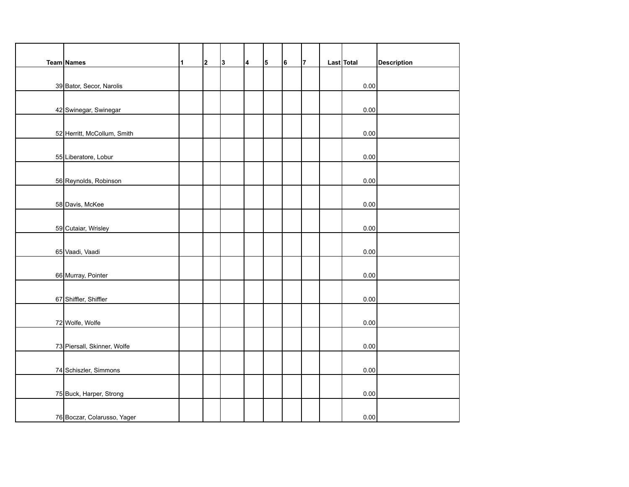| Team Names                  | 1 | $\mathbf 2$ | 3 | 14 | 5 | 6 | $\overline{7}$ | Last Total | <b>Description</b> |
|-----------------------------|---|-------------|---|----|---|---|----------------|------------|--------------------|
|                             |   |             |   |    |   |   |                |            |                    |
| 39 Bator, Secor, Narolis    |   |             |   |    |   |   |                | 0.00       |                    |
|                             |   |             |   |    |   |   |                |            |                    |
| 42 Swinegar, Swinegar       |   |             |   |    |   |   |                | 0.00       |                    |
|                             |   |             |   |    |   |   |                |            |                    |
| 52 Herritt, McCollum, Smith |   |             |   |    |   |   |                | 0.00       |                    |
|                             |   |             |   |    |   |   |                |            |                    |
| 55 Liberatore, Lobur        |   |             |   |    |   |   |                | 0.00       |                    |
|                             |   |             |   |    |   |   |                |            |                    |
| 56 Reynolds, Robinson       |   |             |   |    |   |   |                | 0.00       |                    |
|                             |   |             |   |    |   |   |                |            |                    |
| 58 Davis, McKee             |   |             |   |    |   |   |                | 0.00       |                    |
|                             |   |             |   |    |   |   |                |            |                    |
| 59 Cutaiar, Wrisley         |   |             |   |    |   |   |                | 0.00       |                    |
|                             |   |             |   |    |   |   |                |            |                    |
| 65 Vaadi, Vaadi             |   |             |   |    |   |   |                | 0.00       |                    |
|                             |   |             |   |    |   |   |                | 0.00       |                    |
| 66 Murray, Pointer          |   |             |   |    |   |   |                |            |                    |
| 67 Shiffler, Shiffler       |   |             |   |    |   |   |                | 0.00       |                    |
|                             |   |             |   |    |   |   |                |            |                    |
| 72 Wolfe, Wolfe             |   |             |   |    |   |   |                | 0.00       |                    |
|                             |   |             |   |    |   |   |                |            |                    |
| 73 Piersall, Skinner, Wolfe |   |             |   |    |   |   |                | 0.00       |                    |
|                             |   |             |   |    |   |   |                |            |                    |
| 74 Schiszler, Simmons       |   |             |   |    |   |   |                | 0.00       |                    |
|                             |   |             |   |    |   |   |                |            |                    |
| 75 Buck, Harper, Strong     |   |             |   |    |   |   |                | $0.00\,$   |                    |
|                             |   |             |   |    |   |   |                |            |                    |
| 76 Boczar, Colarusso, Yager |   |             |   |    |   |   |                | 0.00       |                    |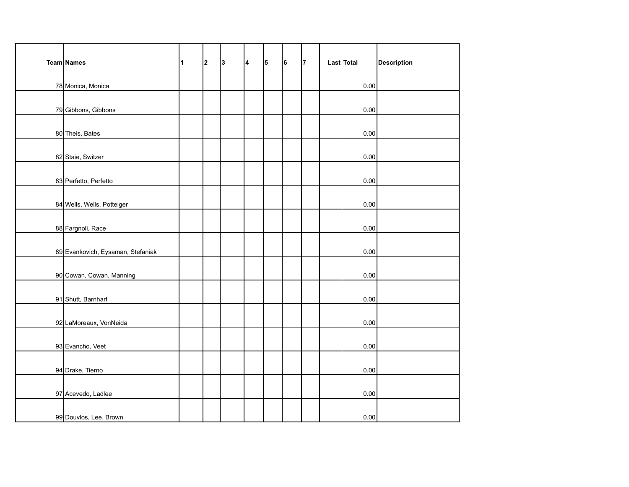| Team Names                        | 1 | $\mathbf 2$ | 3 | 14 | 5 | 6 | $\overline{7}$ | Last Total | <b>Description</b> |
|-----------------------------------|---|-------------|---|----|---|---|----------------|------------|--------------------|
|                                   |   |             |   |    |   |   |                |            |                    |
| 78 Monica, Monica                 |   |             |   |    |   |   |                | 0.00       |                    |
|                                   |   |             |   |    |   |   |                |            |                    |
| 79 Gibbons, Gibbons               |   |             |   |    |   |   |                | 0.00       |                    |
|                                   |   |             |   |    |   |   |                |            |                    |
| 80 Theis, Bates                   |   |             |   |    |   |   |                | 0.00       |                    |
|                                   |   |             |   |    |   |   |                |            |                    |
| 82 Staie, Switzer                 |   |             |   |    |   |   |                | 0.00       |                    |
|                                   |   |             |   |    |   |   |                |            |                    |
| 83 Perfetto, Perfetto             |   |             |   |    |   |   |                | 0.00       |                    |
|                                   |   |             |   |    |   |   |                |            |                    |
| 84 Wells, Wells, Potteiger        |   |             |   |    |   |   |                | 0.00       |                    |
| 88 Fargnoli, Race                 |   |             |   |    |   |   |                | 0.00       |                    |
|                                   |   |             |   |    |   |   |                |            |                    |
| 89 Evankovich, Eysaman, Stefaniak |   |             |   |    |   |   |                | 0.00       |                    |
|                                   |   |             |   |    |   |   |                |            |                    |
| 90 Cowan, Cowan, Manning          |   |             |   |    |   |   |                | 0.00       |                    |
|                                   |   |             |   |    |   |   |                |            |                    |
| 91 Shutt, Barnhart                |   |             |   |    |   |   |                | 0.00       |                    |
|                                   |   |             |   |    |   |   |                |            |                    |
| 92 LaMoreaux, VonNeida            |   |             |   |    |   |   |                | 0.00       |                    |
|                                   |   |             |   |    |   |   |                |            |                    |
| 93 Evancho, Veet                  |   |             |   |    |   |   |                | 0.00       |                    |
|                                   |   |             |   |    |   |   |                |            |                    |
| 94 Drake, Tierno                  |   |             |   |    |   |   |                | 0.00       |                    |
|                                   |   |             |   |    |   |   |                |            |                    |
| 97 Acevedo, Ladlee                |   |             |   |    |   |   |                | $0.00\,$   |                    |
|                                   |   |             |   |    |   |   |                |            |                    |
| 99 Douvlos, Lee, Brown            |   |             |   |    |   |   |                | 0.00       |                    |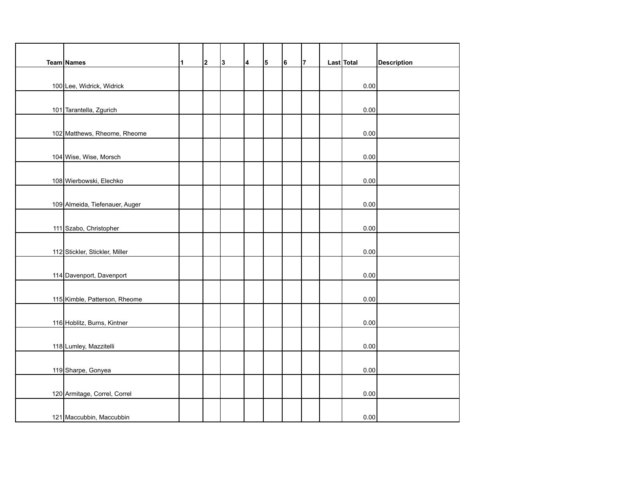| Team Names                     | $\mathbf{1}$ | $\overline{\mathbf{2}}$ | 3 | $\overline{\mathbf{4}}$ | 5 | 6 | 7 | Last Total | <b>Description</b> |
|--------------------------------|--------------|-------------------------|---|-------------------------|---|---|---|------------|--------------------|
|                                |              |                         |   |                         |   |   |   |            |                    |
| 100 Lee, Widrick, Widrick      |              |                         |   |                         |   |   |   | 0.00       |                    |
|                                |              |                         |   |                         |   |   |   |            |                    |
| 101 Tarantella, Zgurich        |              |                         |   |                         |   |   |   | 0.00       |                    |
|                                |              |                         |   |                         |   |   |   |            |                    |
| 102 Matthews, Rheome, Rheome   |              |                         |   |                         |   |   |   | 0.00       |                    |
|                                |              |                         |   |                         |   |   |   |            |                    |
| 104 Wise, Wise, Morsch         |              |                         |   |                         |   |   |   | 0.00       |                    |
|                                |              |                         |   |                         |   |   |   |            |                    |
| 108 Wierbowski, Elechko        |              |                         |   |                         |   |   |   | 0.00       |                    |
| 109 Almeida, Tiefenauer, Auger |              |                         |   |                         |   |   |   | 0.00       |                    |
|                                |              |                         |   |                         |   |   |   |            |                    |
| 111 Szabo, Christopher         |              |                         |   |                         |   |   |   | 0.00       |                    |
|                                |              |                         |   |                         |   |   |   |            |                    |
| 112 Stickler, Stickler, Miller |              |                         |   |                         |   |   |   | 0.00       |                    |
|                                |              |                         |   |                         |   |   |   |            |                    |
| 114 Davenport, Davenport       |              |                         |   |                         |   |   |   | 0.00       |                    |
|                                |              |                         |   |                         |   |   |   |            |                    |
| 115 Kimble, Patterson, Rheome  |              |                         |   |                         |   |   |   | 0.00       |                    |
|                                |              |                         |   |                         |   |   |   |            |                    |
| 116 Hoblitz, Burns, Kintner    |              |                         |   |                         |   |   |   | 0.00       |                    |
|                                |              |                         |   |                         |   |   |   |            |                    |
| 118 Lumley, Mazzitelli         |              |                         |   |                         |   |   |   | 0.00       |                    |
|                                |              |                         |   |                         |   |   |   |            |                    |
| 119 Sharpe, Gonyea             |              |                         |   |                         |   |   |   | 0.00       |                    |
|                                |              |                         |   |                         |   |   |   |            |                    |
| 120 Armitage, Correl, Correl   |              |                         |   |                         |   |   |   | 0.00       |                    |
| 121 Maccubbin, Maccubbin       |              |                         |   |                         |   |   |   | 0.00       |                    |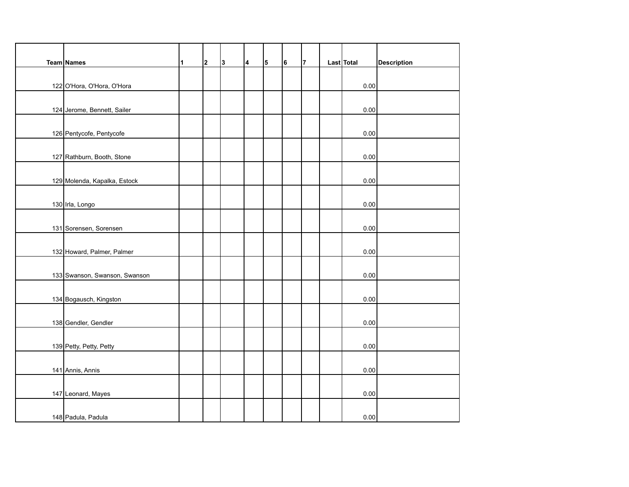| Team Names                    | $\mathbf{1}$ | $\mathbf 2$ | 3 | 4 | 5 | 6 | $\overline{7}$ | Last Total | <b>Description</b> |
|-------------------------------|--------------|-------------|---|---|---|---|----------------|------------|--------------------|
|                               |              |             |   |   |   |   |                |            |                    |
| 122 O'Hora, O'Hora, O'Hora    |              |             |   |   |   |   |                | 0.00       |                    |
|                               |              |             |   |   |   |   |                |            |                    |
| 124 Jerome, Bennett, Sailer   |              |             |   |   |   |   |                | 0.00       |                    |
|                               |              |             |   |   |   |   |                |            |                    |
| 126 Pentycofe, Pentycofe      |              |             |   |   |   |   |                | 0.00       |                    |
|                               |              |             |   |   |   |   |                |            |                    |
| 127 Rathburn, Booth, Stone    |              |             |   |   |   |   |                | 0.00       |                    |
|                               |              |             |   |   |   |   |                |            |                    |
| 129 Molenda, Kapalka, Estock  |              |             |   |   |   |   |                | 0.00       |                    |
|                               |              |             |   |   |   |   |                | 0.00       |                    |
| 130 Irla, Longo               |              |             |   |   |   |   |                |            |                    |
| 131 Sorensen, Sorensen        |              |             |   |   |   |   |                | 0.00       |                    |
|                               |              |             |   |   |   |   |                |            |                    |
| 132 Howard, Palmer, Palmer    |              |             |   |   |   |   |                | 0.00       |                    |
|                               |              |             |   |   |   |   |                |            |                    |
| 133 Swanson, Swanson, Swanson |              |             |   |   |   |   |                | 0.00       |                    |
|                               |              |             |   |   |   |   |                |            |                    |
| 134 Bogausch, Kingston        |              |             |   |   |   |   |                | 0.00       |                    |
|                               |              |             |   |   |   |   |                |            |                    |
| 138 Gendler, Gendler          |              |             |   |   |   |   |                | 0.00       |                    |
|                               |              |             |   |   |   |   |                |            |                    |
| 139 Petty, Petty, Petty       |              |             |   |   |   |   |                | 0.00       |                    |
|                               |              |             |   |   |   |   |                |            |                    |
| 141 Annis, Annis              |              |             |   |   |   |   |                | 0.00       |                    |
|                               |              |             |   |   |   |   |                |            |                    |
| 147 Leonard, Mayes            |              |             |   |   |   |   |                | $0.00\,$   |                    |
|                               |              |             |   |   |   |   |                |            |                    |
| 148 Padula, Padula            |              |             |   |   |   |   |                | 0.00       |                    |